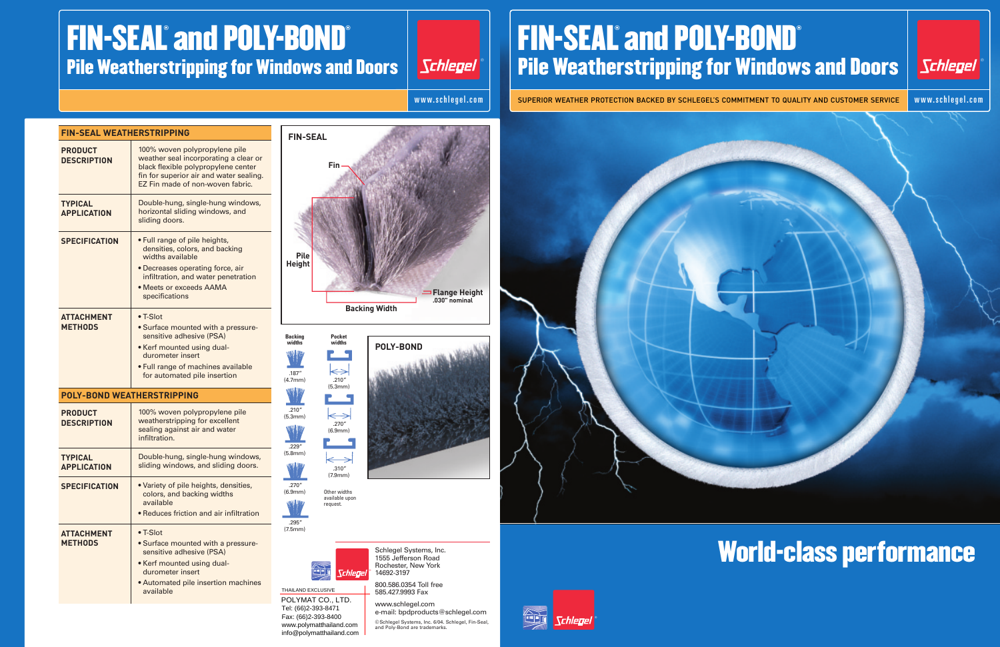## World-class performance

| <b>FIN-SEAL WEATHERSTRIPPING</b>     |                                                                                                                                                                                                             |
|--------------------------------------|-------------------------------------------------------------------------------------------------------------------------------------------------------------------------------------------------------------|
| <b>PRODUCT</b><br><b>DESCRIPTION</b> | 100% woven polypropylene pile<br>weather seal incorporating a clear or<br>black flexible polypropylene center<br>fin for superior air and water sealing.<br>EZ Fin made of non-woven fabric.                |
| <b>TYPICAL</b><br><b>APPLICATION</b> | Double-hung, single-hung windows,<br>horizontal sliding windows, and<br>sliding doors.                                                                                                                      |
| <b>SPECIFICATION</b>                 | • Full range of pile heights,<br>densities, colors, and backing<br>widths available<br>• Decreases operating force, air<br>infiltration, and water penetration<br>• Meets or exceeds AAMA<br>specifications |
| <b>ATTACHMENT</b><br><b>METHODS</b>  | $\bullet$ T-Slot<br>· Surface mounted with a pressure-<br>sensitive adhesive (PSA)<br>• Kerf mounted using dual-<br>durometer insert<br>• Full range of machines available<br>for automated pile insertion  |
| <b>POLY-BOND WEATHERSTRIPPING</b>    |                                                                                                                                                                                                             |
| <b>PRODUCT</b><br><b>DESCRIPTION</b> | 100% woven polypropylene pile<br>weatherstripping for excellent<br>sealing against air and water<br>infiltration.                                                                                           |
| <b>TYPICAL</b><br><b>APPLICATION</b> | Double-hung, single-hung windows,<br>sliding windows, and sliding doors.                                                                                                                                    |
| <b>SPECIFICATION</b>                 | . Variety of pile heights, densities,<br>colors, and backing widths<br>available<br>• Reduces friction and air infiltration                                                                                 |
| <b>ATTACHMENT</b><br><b>METHODS</b>  | $\bullet$ T-Slot<br>· Surface mounted with a pressure-<br>sensitive adhesive (PSA)<br>• Kerf mounted using dual-<br>durometer insert<br>• Automated pile insertion machines<br>available                    |

## FIN-SEAL® and POLY-BOND® Pile Weatherstripping for Windows and Doors

Schlegel

## FIN-SEAL® and POLY-BOND® Pile Weatherstripping for Windows and Doors | Schlegel

THAILAND EXCLUSIVE<br>POLYMAT CO., LTD. Tel: (66)2-393-8471 Fax: (66)2-393-8400 www.polymatthailand.com info@polymatthailand.com

œ



Schlegel Systems, Inc. 1555 Jefferson Road Rochester, New York 14692-3197

800.586.0354 Toll free 585.427.9993 Fax

www.schlegel.com e-mail: bpdproducts@schlegel.com ©Schlegel Systems, Inc. 6/04. Schlegel, Fin-Seal, and Poly-Bond are trademarks.



*Chleoe* 









www.schlegel.com



### SUPERIOR WEATHER PROTECTION BACKED BY SCHLEGEL'S COMMITMENT TO QUALITY AND CUSTOMER SERVICE www.schlegel.com

**Backing widths**

.187" (4.7mm)

.229" (5.8mm)

.270" (6.9mm)



.210" (5.3mm)

WW

.295" (7.5mm)



 $\leftarrow$